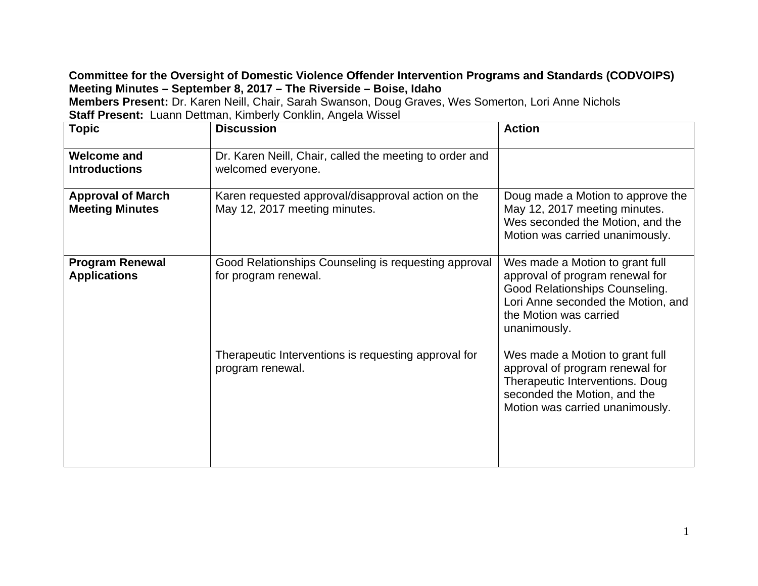## **Committee for the Oversight of Domestic Violence Offender Intervention Programs and Standards (CODVOIPS) Meeting Minutes – September 8, 2017 – The Riverside – Boise, Idaho**

**Members Present:** Dr. Karen Neill, Chair, Sarah Swanson, Doug Graves, Wes Somerton, Lori Anne Nichols **Staff Present:** Luann Dettman, Kimberly Conklin, Angela Wissel

| <b>Topic</b>                                       | <b>Discussion</b>                                                                   | <b>Action</b>                                                                                                                                                                        |
|----------------------------------------------------|-------------------------------------------------------------------------------------|--------------------------------------------------------------------------------------------------------------------------------------------------------------------------------------|
| <b>Welcome and</b><br><b>Introductions</b>         | Dr. Karen Neill, Chair, called the meeting to order and<br>welcomed everyone.       |                                                                                                                                                                                      |
| <b>Approval of March</b><br><b>Meeting Minutes</b> | Karen requested approval/disapproval action on the<br>May 12, 2017 meeting minutes. | Doug made a Motion to approve the<br>May 12, 2017 meeting minutes.<br>Wes seconded the Motion, and the<br>Motion was carried unanimously.                                            |
| <b>Program Renewal</b><br><b>Applications</b>      | Good Relationships Counseling is requesting approval<br>for program renewal.        | Wes made a Motion to grant full<br>approval of program renewal for<br>Good Relationships Counseling.<br>Lori Anne seconded the Motion, and<br>the Motion was carried<br>unanimously. |
|                                                    | Therapeutic Interventions is requesting approval for<br>program renewal.            | Wes made a Motion to grant full<br>approval of program renewal for<br>Therapeutic Interventions. Doug<br>seconded the Motion, and the<br>Motion was carried unanimously.             |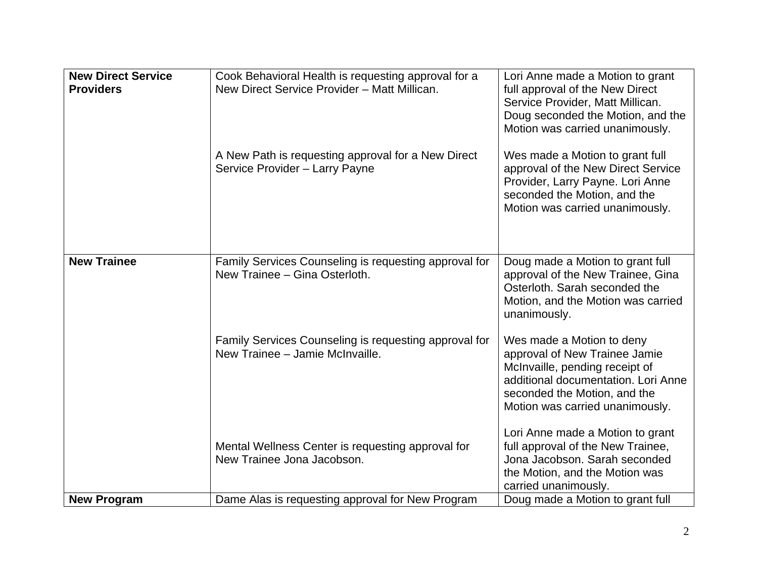| <b>New Direct Service</b><br><b>Providers</b> | Cook Behavioral Health is requesting approval for a<br>New Direct Service Provider - Matt Millican. | Lori Anne made a Motion to grant<br>full approval of the New Direct<br>Service Provider, Matt Millican.<br>Doug seconded the Motion, and the<br>Motion was carried unanimously.                        |
|-----------------------------------------------|-----------------------------------------------------------------------------------------------------|--------------------------------------------------------------------------------------------------------------------------------------------------------------------------------------------------------|
|                                               | A New Path is requesting approval for a New Direct<br>Service Provider - Larry Payne                | Wes made a Motion to grant full<br>approval of the New Direct Service<br>Provider, Larry Payne. Lori Anne<br>seconded the Motion, and the<br>Motion was carried unanimously.                           |
| <b>New Trainee</b>                            | Family Services Counseling is requesting approval for<br>New Trainee - Gina Osterloth.              | Doug made a Motion to grant full<br>approval of the New Trainee, Gina<br>Osterloth. Sarah seconded the<br>Motion, and the Motion was carried<br>unanimously.                                           |
|                                               | Family Services Counseling is requesting approval for<br>New Trainee - Jamie McInvaille.            | Wes made a Motion to deny<br>approval of New Trainee Jamie<br>McInvaille, pending receipt of<br>additional documentation. Lori Anne<br>seconded the Motion, and the<br>Motion was carried unanimously. |
|                                               | Mental Wellness Center is requesting approval for<br>New Trainee Jona Jacobson.                     | Lori Anne made a Motion to grant<br>full approval of the New Trainee,<br>Jona Jacobson. Sarah seconded<br>the Motion, and the Motion was<br>carried unanimously.                                       |
| <b>New Program</b>                            | Dame Alas is requesting approval for New Program                                                    | Doug made a Motion to grant full                                                                                                                                                                       |